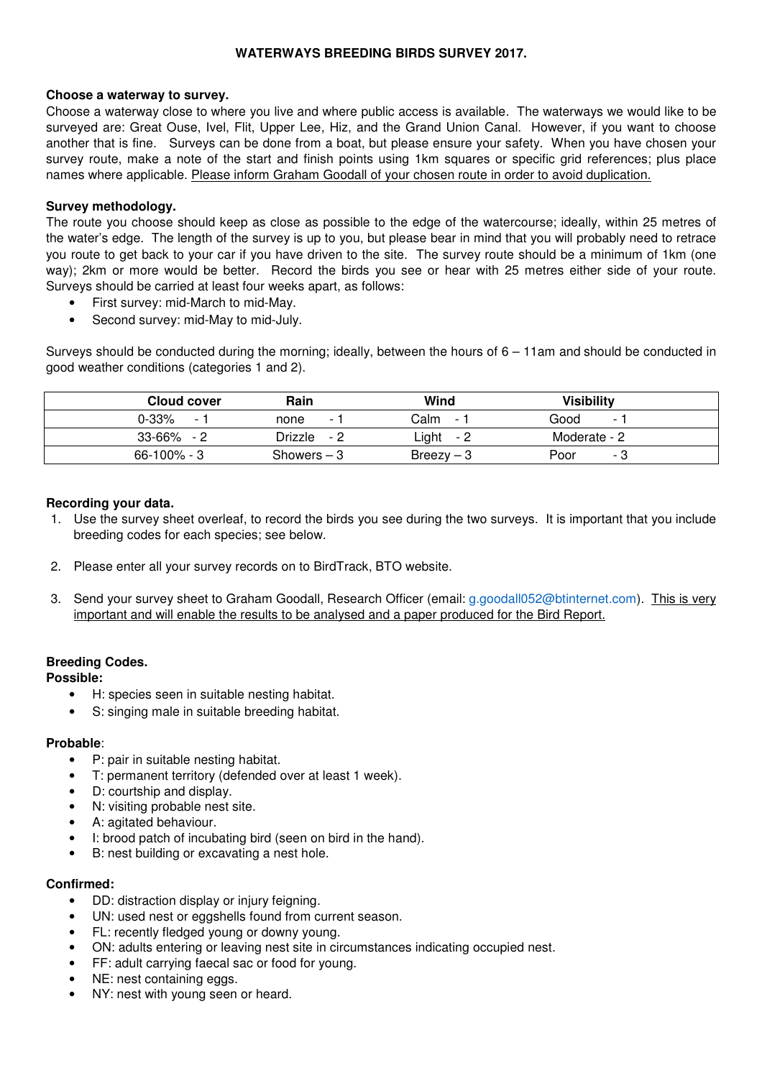# **WATERWAYS BREEDING BIRDS SURVEY 2017.**

### **Choose a waterway to survey.**

Choose a waterway close to where you live and where public access is available. The waterways we would like to be surveyed are: Great Ouse, Ivel, Flit, Upper Lee, Hiz, and the Grand Union Canal. However, if you want to choose another that is fine. Surveys can be done from a boat, but please ensure your safety. When you have chosen your survey route, make a note of the start and finish points using 1km squares or specific grid references; plus place names where applicable. Please inform Graham Goodall of your chosen route in order to avoid duplication.

# **Survey methodology.**

The route you choose should keep as close as possible to the edge of the watercourse; ideally, within 25 metres of the water's edge. The length of the survey is up to you, but please bear in mind that you will probably need to retrace you route to get back to your car if you have driven to the site. The survey route should be a minimum of 1km (one way); 2km or more would be better. Record the birds you see or hear with 25 metres either side of your route. Surveys should be carried at least four weeks apart, as follows:

- First survey: mid-March to mid-May.
- Second survey: mid-May to mid-July.

Surveys should be conducted during the morning; ideally, between the hours of 6 – 11am and should be conducted in good weather conditions (categories 1 and 2).

| Cloud cover              | Rain                     | Wind                     | Visibilitv               |
|--------------------------|--------------------------|--------------------------|--------------------------|
| $0 - 33%$                | none                     | Calm                     | Good                     |
| $\overline{\phantom{0}}$ | $\overline{\phantom{0}}$ | $\overline{\phantom{a}}$ | $\overline{\phantom{0}}$ |
| 33-66%                   | Drizzle                  | ∟ight                    | Moderate - 2             |
| - 2                      | - 2                      | - 2                      |                          |
| $66 - 100\% - 3$         | $Showers - 3$            | $Breezv - 3$             | Poor<br>- 3              |

### **Recording your data.**

- 1. Use the survey sheet overleaf, to record the birds you see during the two surveys. It is important that you include breeding codes for each species; see below.
- 2. Please enter all your survey records on to BirdTrack, BTO website.
- 3. Send your survey sheet to Graham Goodall, Research Officer (email: g.goodall052@btinternet.com). This is very important and will enable the results to be analysed and a paper produced for the Bird Report.

### **Breeding Codes.**

### **Possible:**

- H: species seen in suitable nesting habitat.
- S: singing male in suitable breeding habitat.

#### **Probable**:

- P: pair in suitable nesting habitat.
- T: permanent territory (defended over at least 1 week).
- D: courtship and display.
- N: visiting probable nest site.
- A: agitated behaviour.
- I: brood patch of incubating bird (seen on bird in the hand).
- B: nest building or excavating a nest hole.

#### **Confirmed:**

- DD: distraction display or injury feigning.
- UN: used nest or eggshells found from current season.
- FL: recently fledged young or downy young.
- ON: adults entering or leaving nest site in circumstances indicating occupied nest.
- FF: adult carrying faecal sac or food for young.
- NE: nest containing eggs.
- NY: nest with young seen or heard.